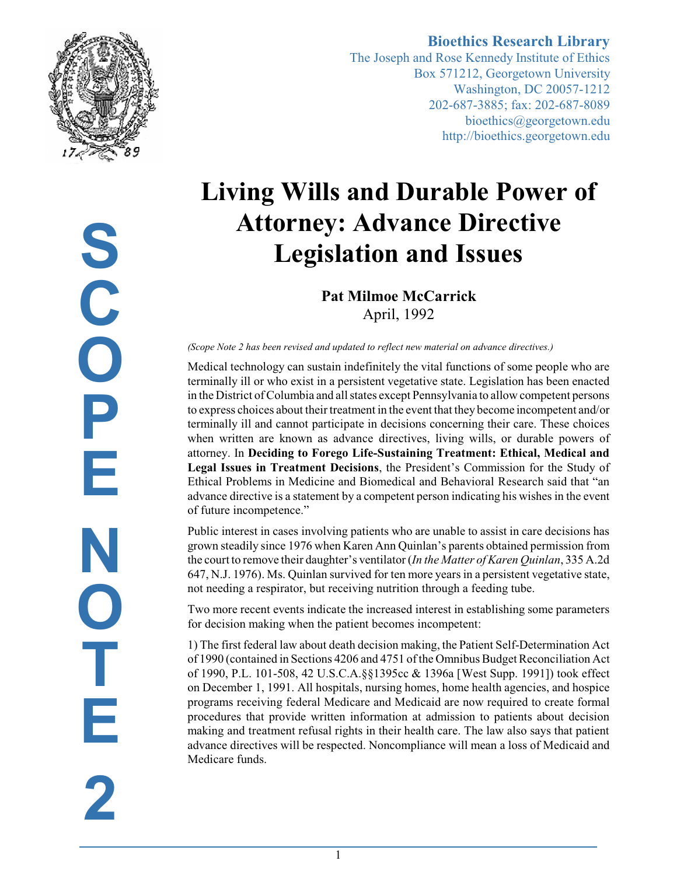

## **Bioethics Research Library** The Joseph and Rose Kennedy Institute of Ethics Box 571212, Georgetown University Washington, DC 20057-1212 202-687-3885; fax: 202-687-8089 bioethics@georgetown.edu http://bioethics.georgetown.edu

# **Living Wills and Durable Power of Attorney: Advance Directive Legislation and Issues**

**Pat Milmoe McCarrick** April, 1992

*(Scope Note 2 has been revised and updated to reflect new material on advance directives.)*

Medical technology can sustain indefinitely the vital functions of some people who are terminally ill or who exist in a persistent vegetative state. Legislation has been enacted in the District ofColumbia and allstates except Pennsylvania to allow competent persons to express choices about their treatment in the event that they become incompetent and/or terminally ill and cannot participate in decisions concerning their care. These choices when written are known as advance directives, living wills, or durable powers of attorney. In **Deciding to Forego Life-Sustaining Treatment: Ethical, Medical and Legal Issues in Treatment Decisions**, the President's Commission for the Study of Ethical Problems in Medicine and Biomedical and Behavioral Research said that "an advance directive is a statement by a competent person indicating his wishes in the event of future incompetence."

Public interest in cases involving patients who are unable to assist in care decisions has grown steadily since 1976 when Karen Ann Quinlan's parents obtained permission from the court to remove their daughter's ventilator (*In the Matter of Karen Quinlan*, 335 A.2d 647, N.J. 1976). Ms. Quinlan survived for ten more years in a persistent vegetative state, not needing a respirator, but receiving nutrition through a feeding tube.

Two more recent events indicate the increased interest in establishing some parameters for decision making when the patient becomes incompetent:

1) The first federal law about death decision making, the Patient Self-Determination Act of 1990 (contained in Sections 4206 and 4751 of the Omnibus Budget Reconciliation Act of 1990, P.L. 101-508, 42 U.S.C.A.§§1395cc & 1396a [West Supp. 1991]) took effect on December 1, 1991. All hospitals, nursing homes, home health agencies, and hospice programs receiving federal Medicare and Medicaid are now required to create formal procedures that provide written information at admission to patients about decision making and treatment refusal rights in their health care. The law also says that patient advance directives will be respected. Noncompliance will mean a loss of Medicaid and Medicare funds.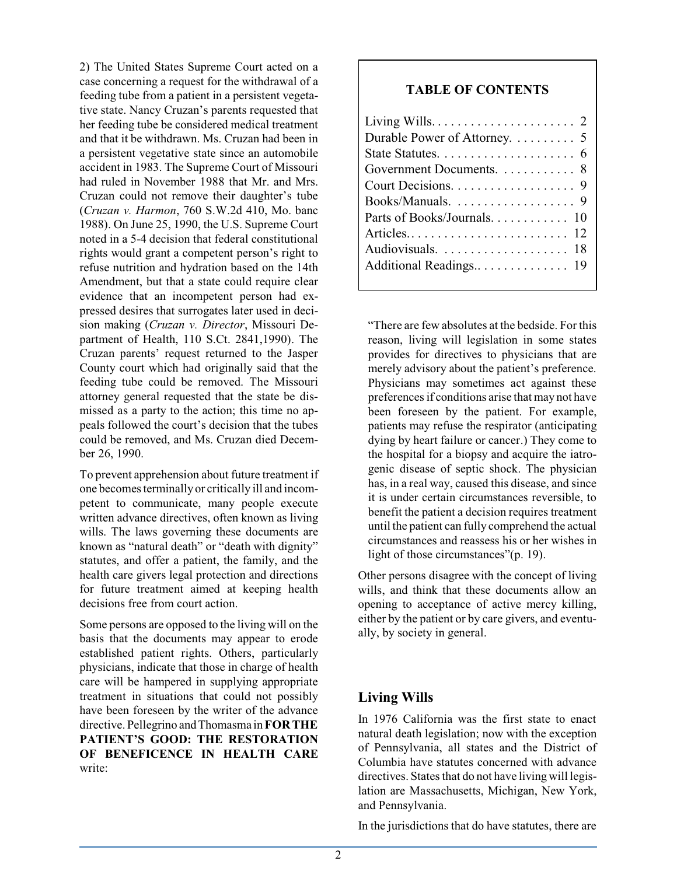2) The United States Supreme Court acted on a case concerning a request for the withdrawal of a feeding tube from a patient in a persistent vegetative state. Nancy Cruzan's parents requested that her feeding tube be considered medical treatment and that it be withdrawn. Ms. Cruzan had been in a persistent vegetative state since an automobile accident in 1983. The Supreme Court of Missouri had ruled in November 1988 that Mr. and Mrs. Cruzan could not remove their daughter's tube (*Cruzan v. Harmon*, 760 S.W.2d 410, Mo. banc 1988). On June 25, 1990, the U.S. Supreme Court noted in a 5-4 decision that federal constitutional rights would grant a competent person's right to refuse nutrition and hydration based on the 14th Amendment, but that a state could require clear evidence that an incompetent person had expressed desires that surrogates later used in decision making (*Cruzan v. Director*, Missouri Department of Health, 110 S.Ct. 2841,1990). The Cruzan parents' request returned to the Jasper County court which had originally said that the feeding tube could be removed. The Missouri attorney general requested that the state be dismissed as a party to the action; this time no appeals followed the court's decision that the tubes could be removed, and Ms. Cruzan died December 26, 1990.

To prevent apprehension about future treatment if one becomes terminally or critically ill and incompetent to communicate, many people execute written advance directives, often known as living wills. The laws governing these documents are known as "natural death" or "death with dignity" statutes, and offer a patient, the family, and the health care givers legal protection and directions for future treatment aimed at keeping health decisions free from court action.

Some persons are opposed to the living will on the basis that the documents may appear to erode established patient rights. Others, particularly physicians, indicate that those in charge of health care will be hampered in supplying appropriate treatment in situations that could not possibly have been foreseen by the writer of the advance directive. Pellegrino andThomasma in **FOR THE PATIENT'S GOOD: THE RESTORATION OF BENEFICENCE IN HEALTH CARE** write:

#### **TABLE OF CONTENTS**

| Durable Power of Attorney. 5 |
|------------------------------|
|                              |
| Government Documents. 8      |
|                              |
|                              |
|                              |
|                              |
|                              |
| Additional Readings 19       |
|                              |

"There are few absolutes at the bedside. For this reason, living will legislation in some states provides for directives to physicians that are merely advisory about the patient's preference. Physicians may sometimes act against these preferences if conditions arise that may not have been foreseen by the patient. For example, patients may refuse the respirator (anticipating dying by heart failure or cancer.) They come to the hospital for a biopsy and acquire the iatrogenic disease of septic shock. The physician has, in a real way, caused this disease, and since it is under certain circumstances reversible, to benefit the patient a decision requires treatment until the patient can fully comprehend the actual circumstances and reassess his or her wishes in light of those circumstances"(p. 19).

Other persons disagree with the concept of living wills, and think that these documents allow an opening to acceptance of active mercy killing, either by the patient or by care givers, and eventually, by society in general.

## **Living Wills**

In 1976 California was the first state to enact natural death legislation; now with the exception of Pennsylvania, all states and the District of Columbia have statutes concerned with advance directives. States that do not have living will legislation are Massachusetts, Michigan, New York, and Pennsylvania.

In the jurisdictions that do have statutes, there are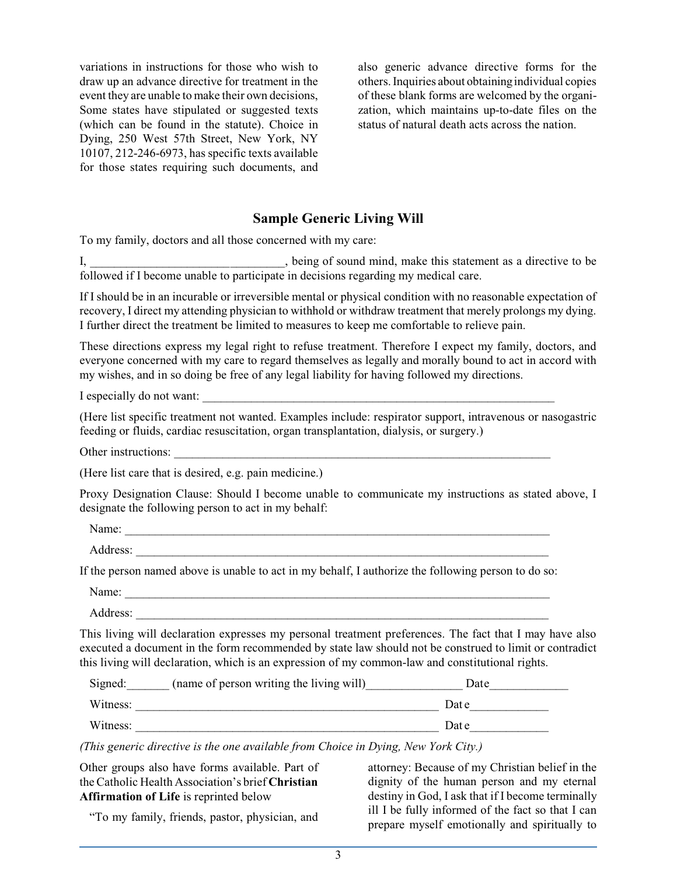variations in instructions for those who wish to draw up an advance directive for treatment in the event they are unable to make their own decisions, Some states have stipulated or suggested texts (which can be found in the statute). Choice in Dying, 250 West 57th Street, New York, NY 10107, 212-246-6973, has specific texts available for those states requiring such documents, and also generic advance directive forms for the others. Inquiries about obtainingindividual copies of these blank forms are welcomed by the organization, which maintains up-to-date files on the status of natural death acts across the nation.

## **Sample Generic Living Will**

To my family, doctors and all those concerned with my care:

I, \_\_\_\_\_\_\_\_\_\_\_\_\_\_\_\_\_\_\_\_\_\_\_\_\_\_\_\_\_\_\_, being of sound mind, make this statement as a directive to be followed if I become unable to participate in decisions regarding my medical care.

If I should be in an incurable or irreversible mental or physical condition with no reasonable expectation of recovery, I direct my attending physician to withhold or withdraw treatment that merely prolongs my dying. I further direct the treatment be limited to measures to keep me comfortable to relieve pain.

These directions express my legal right to refuse treatment. Therefore I expect my family, doctors, and everyone concerned with my care to regard themselves as legally and morally bound to act in accord with my wishes, and in so doing be free of any legal liability for having followed my directions.

I especially do not want:

(Here list specific treatment not wanted. Examples include: respirator support, intravenous or nasogastric feeding or fluids, cardiac resuscitation, organ transplantation, dialysis, or surgery.)

Other instructions:

(Here list care that is desired, e.g. pain medicine.)

Proxy Designation Clause: Should I become unable to communicate my instructions as stated above, I designate the following person to act in my behalf:

Name:

Address: \_\_\_\_\_\_\_\_\_\_\_\_\_\_\_\_\_\_\_\_\_\_\_\_\_\_\_\_\_\_\_\_\_\_\_\_\_\_\_\_\_\_\_\_\_\_\_\_\_\_\_\_\_\_\_\_\_\_\_\_\_\_\_\_\_\_\_\_

If the person named above is unable to act in my behalf, I authorize the following person to do so:

Name:

Address:

This living will declaration expresses my personal treatment preferences. The fact that I may have also executed a document in the form recommended by state law should not be construed to limit or contradict this living will declaration, which is an expression of my common-law and constitutional rights.

| Signed:  | (name of person writing the living will) | Date |  |
|----------|------------------------------------------|------|--|
| Witness: |                                          | Date |  |
| Witness: |                                          | Date |  |

*(This generic directive is the one available from Choice in Dying, New York City.)*

Other groups also have forms available. Part of the Catholic Health Association's brief **Christian Affirmation of Life** is reprinted below

"To my family, friends, pastor, physician, and

attorney: Because of my Christian belief in the dignity of the human person and my eternal destiny in God, I ask that if I become terminally ill I be fully informed of the fact so that I can prepare myself emotionally and spiritually to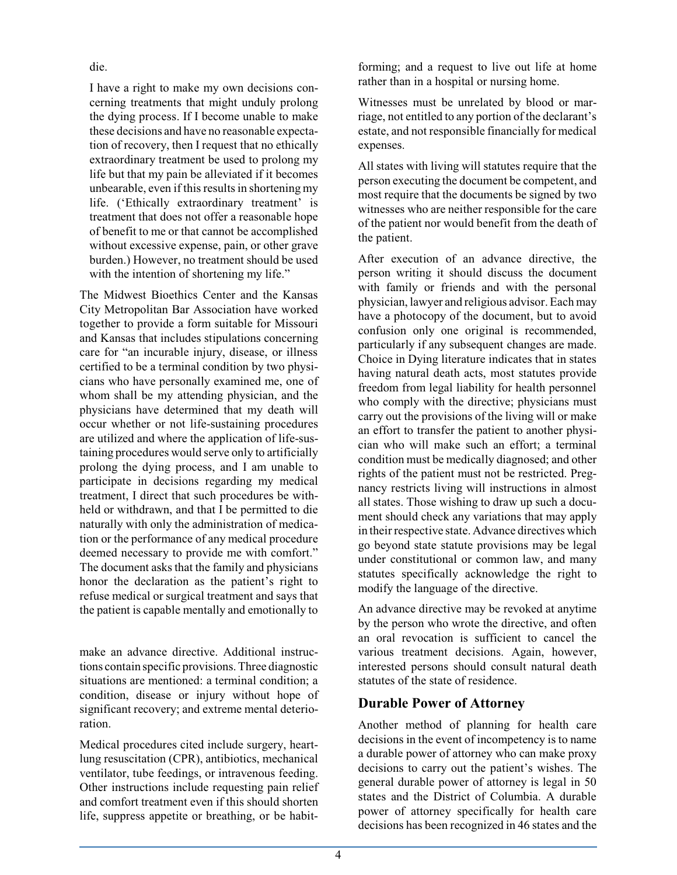die.

I have a right to make my own decisions concerning treatments that might unduly prolong the dying process. If I become unable to make these decisions and have no reasonable expectation of recovery, then I request that no ethically extraordinary treatment be used to prolong my life but that my pain be alleviated if it becomes unbearable, even if this results in shortening my life. ('Ethically extraordinary treatment' is treatment that does not offer a reasonable hope of benefit to me or that cannot be accomplished without excessive expense, pain, or other grave burden.) However, no treatment should be used with the intention of shortening my life."

The Midwest Bioethics Center and the Kansas City Metropolitan Bar Association have worked together to provide a form suitable for Missouri and Kansas that includes stipulations concerning care for "an incurable injury, disease, or illness certified to be a terminal condition by two physicians who have personally examined me, one of whom shall be my attending physician, and the physicians have determined that my death will occur whether or not life-sustaining procedures are utilized and where the application of life-sustaining procedures would serve only to artificially prolong the dying process, and I am unable to participate in decisions regarding my medical treatment, I direct that such procedures be withheld or withdrawn, and that I be permitted to die naturally with only the administration of medication or the performance of any medical procedure deemed necessary to provide me with comfort." The document asks that the family and physicians honor the declaration as the patient's right to refuse medical or surgical treatment and says that the patient is capable mentally and emotionally to

make an advance directive. Additional instructions contain specific provisions. Three diagnostic situations are mentioned: a terminal condition; a condition, disease or injury without hope of significant recovery; and extreme mental deterioration.

Medical procedures cited include surgery, heartlung resuscitation (CPR), antibiotics, mechanical ventilator, tube feedings, or intravenous feeding. Other instructions include requesting pain relief and comfort treatment even if this should shorten life, suppress appetite or breathing, or be habitforming; and a request to live out life at home rather than in a hospital or nursing home.

Witnesses must be unrelated by blood or marriage, not entitled to any portion of the declarant's estate, and not responsible financially for medical expenses.

All states with living will statutes require that the person executing the document be competent, and most require that the documents be signed by two witnesses who are neither responsible for the care of the patient nor would benefit from the death of the patient.

After execution of an advance directive, the person writing it should discuss the document with family or friends and with the personal physician, lawyer and religious advisor. Each may have a photocopy of the document, but to avoid confusion only one original is recommended, particularly if any subsequent changes are made. Choice in Dying literature indicates that in states having natural death acts, most statutes provide freedom from legal liability for health personnel who comply with the directive; physicians must carry out the provisions of the living will or make an effort to transfer the patient to another physician who will make such an effort; a terminal condition must be medically diagnosed; and other rights of the patient must not be restricted. Pregnancy restricts living will instructions in almost all states. Those wishing to draw up such a document should check any variations that may apply in their respective state. Advance directives which go beyond state statute provisions may be legal under constitutional or common law, and many statutes specifically acknowledge the right to modify the language of the directive.

An advance directive may be revoked at anytime by the person who wrote the directive, and often an oral revocation is sufficient to cancel the various treatment decisions. Again, however, interested persons should consult natural death statutes of the state of residence.

## **Durable Power of Attorney**

Another method of planning for health care decisions in the event of incompetency is to name a durable power of attorney who can make proxy decisions to carry out the patient's wishes. The general durable power of attorney is legal in 50 states and the District of Columbia. A durable power of attorney specifically for health care decisions has been recognized in 46 states and the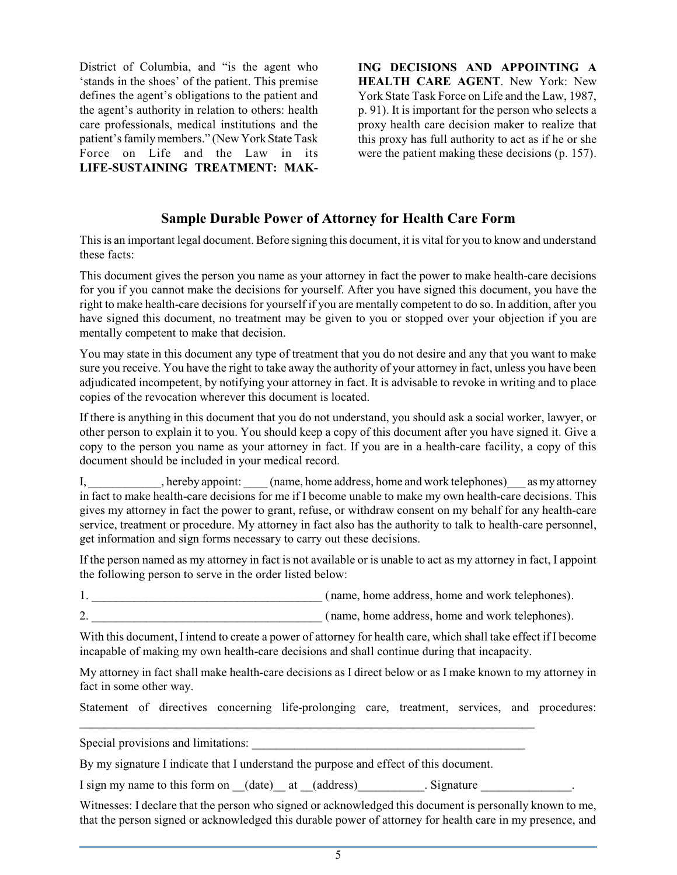District of Columbia, and "is the agent who 'stands in the shoes' of the patient. This premise defines the agent's obligations to the patient and the agent's authority in relation to others: health care professionals, medical institutions and the patient's family members." (New York State Task Force on Life and the Law in its **LIFE-SUSTAINING TREATMENT: MAK-**

**ING DECISIONS AND APPOINTING A HEALTH CARE AGENT**. New York: New York State Task Force on Life and the Law, 1987, p. 91). It is important for the person who selects a proxy health care decision maker to realize that this proxy has full authority to act as if he or she were the patient making these decisions (p. 157).

## **Sample Durable Power of Attorney for Health Care Form**

This is an important legal document. Before signing this document, it is vital for you to know and understand these facts:

This document gives the person you name as your attorney in fact the power to make health-care decisions for you if you cannot make the decisions for yourself. After you have signed this document, you have the right to make health-care decisions for yourself if you are mentally competent to do so. In addition, after you have signed this document, no treatment may be given to you or stopped over your objection if you are mentally competent to make that decision.

You may state in this document any type of treatment that you do not desire and any that you want to make sure you receive. You have the right to take away the authority of your attorney in fact, unless you have been adjudicated incompetent, by notifying your attorney in fact. It is advisable to revoke in writing and to place copies of the revocation wherever this document is located.

If there is anything in this document that you do not understand, you should ask a social worker, lawyer, or other person to explain it to you. You should keep a copy of this document after you have signed it. Give a copy to the person you name as your attorney in fact. If you are in a health-care facility, a copy of this document should be included in your medical record.

I, hereby appoint: (name, home address, home and work telephones) as my attorney in fact to make health-care decisions for me if I become unable to make my own health-care decisions. This gives my attorney in fact the power to grant, refuse, or withdraw consent on my behalf for any health-care service, treatment or procedure. My attorney in fact also has the authority to talk to health-care personnel, get information and sign forms necessary to carry out these decisions.

If the person named as my attorney in fact is not available or is unable to act as my attorney in fact, I appoint the following person to serve in the order listed below:

1. \_\_\_\_\_\_\_\_\_\_\_\_\_\_\_\_\_\_\_\_\_\_\_\_\_\_\_\_\_\_\_\_\_\_\_\_\_\_ (name, home address, home and work telephones).

2.  $\blacksquare$  (name, home address, home and work telephones).

With this document, I intend to create a power of attorney for health care, which shall take effect if I become incapable of making my own health-care decisions and shall continue during that incapacity.

My attorney in fact shall make health-care decisions as I direct below or as I make known to my attorney in fact in some other way.

Statement of directives concerning life-prolonging care, treatment, services, and procedures:

Special provisions and limitations:

By my signature I indicate that I understand the purpose and effect of this document.

 $\mathcal{L}_\text{max} = \mathcal{L}_\text{max} = \mathcal{L}_\text{max} = \mathcal{L}_\text{max} = \mathcal{L}_\text{max} = \mathcal{L}_\text{max} = \mathcal{L}_\text{max} = \mathcal{L}_\text{max} = \mathcal{L}_\text{max} = \mathcal{L}_\text{max} = \mathcal{L}_\text{max} = \mathcal{L}_\text{max} = \mathcal{L}_\text{max} = \mathcal{L}_\text{max} = \mathcal{L}_\text{max} = \mathcal{L}_\text{max} = \mathcal{L}_\text{max} = \mathcal{L}_\text{max} = \mathcal{$ 

I sign my name to this form on  $((date))$  at  $((address))$ . Signature  $($ 

Witnesses: I declare that the person who signed or acknowledged this document is personally known to me, that the person signed or acknowledged this durable power of attorney for health care in my presence, and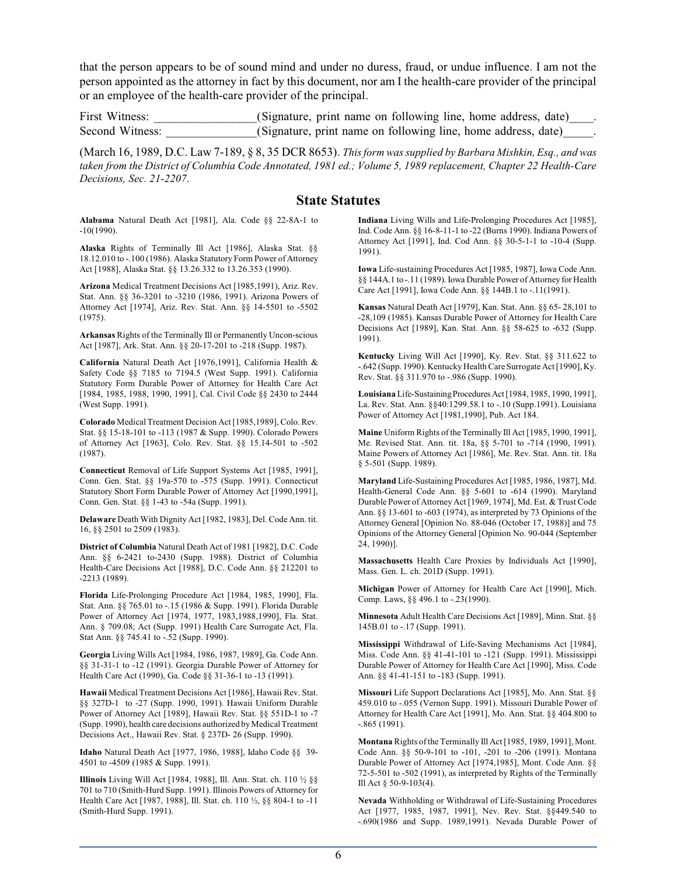that the person appears to be of sound mind and under no duress, fraud, or undue influence. I am not the person appointed as the attorney in fact by this document, nor am I the health-care provider of the principal or an employee of the health-care provider of the principal.

First Witness: (Signature, print name on following line, home address, date) . Second Witness: (Signature, print name on following line, home address, date)

(March 16, 1989, D.C. Law 7-189, § 8, 35 DCR 8653). *This form was supplied by Barbara Mishkin, Esq., and was taken from the District of Columbia Code Annotated, 1981 ed.; Volume 5, 1989 replacement, Chapter 22 Health-Care Decisions, Sec. 21-2207*.

#### **State Statutes**

**Alabama** Natural Death Act [1981], Ala. Code §§ 22-8A-1 to -10(1990).

**Alaska** Rights of Terminally Ill Act [1986], Alaska Stat. §§ 18.12.010 to -.100 (1986). Alaska Statutory Form Power of Attorney Act [1988], Alaska Stat. §§ 13.26.332 to 13.26.353 (1990).

**Arizona** Medical Treatment Decisions Act [1985,1991), Ariz. Rev. Stat. Ann. §§ 36-3201 to -3210 (1986, 1991). Arizona Powers of Attorney Act [1974], Ariz. Rev. Stat. Ann. §§ 14-5501 to -5502 (1975).

**Arkansas** Rights of the Terminally Ill or Permanently Uncon-scious Act [1987], Ark. Stat. Ann. §§ 20-17-201 to -218 (Supp. 1987).

**California** Natural Death Act [1976,1991], California Health & Safety Code §§ 7185 to 7194.5 (West Supp. 1991). California Statutory Form Durable Power of Attorney for Health Care Act [1984, 1985, 1988, 1990, 1991], Cal. Civil Code §§ 2430 to 2444 (West Supp. 1991).

**Colorado** Medical Treatment Decision Act [1985,1989], Colo. Rev. Stat. §§ 15-18-101 to -113 (1987 & Supp. 1990). Colorado Powers of Attorney Act [1963], Colo. Rev. Stat. §§ 15.14-501 to -502 (1987).

**Connecticut** Removal of Life Support Systems Act [1985, 1991], Conn. Gen. Stat. §§ 19a-570 to -575 (Supp. 1991). Connecticut Statutory Short Form Durable Power of Attorney Act [1990,1991], Conn. Gen. Stat. §§ 1-43 to -54a (Supp. 1991).

**Delaware** Death With Dignity Act [1982, 1983], Del. Code Ann. tit. 16, §§ 2501 to 2509 (1983).

**District of Columbia** Natural Death Act of 1981 [1982], D.C. Code Ann. §§ 6-2421 to-2430 (Supp. 1988). District of Columbia Health-Care Decisions Act [1988], D.C. Code Ann. §§ 212201 to -2213 (1989).

**Florida** Life-Prolonging Procedure Act [1984, 1985, 1990], Fla. Stat. Ann. §§ 765.01 to -.15 (1986 & Supp. 1991). Florida Durable Power of Attorney Act [1974, 1977, 1983,1988,1990], Fla. Stat. Ann. § 709.08; Act (Supp. 1991) Health Care Surrogate Act, Fla. Stat Ann. §§ 745.41 to -.52 (Supp. 1990).

**Georgia** Living Wills Act [1984, 1986, 1987, 1989], Ga. Code Ann. §§ 31-31-1 to -12 (1991). Georgia Durable Power of Attorney for Health Care Act (1990), Ga. Code §§ 31-36-1 to -13 (1991).

**Hawaii** Medical Treatment Decisions Act [1986], Hawaii Rev. Stat. §§ 327D-1 to -27 (Supp. 1990, 1991). Hawaii Uniform Durable Power of Attorney Act [1989], Hawaii Rev. Stat. §§ 551D-1 to -7 (Supp. 1990), health care decisions authorized by Medical Treatment Decisions Act., Hawaii Rev. Stat. § 237D- 26 (Supp. 1990).

**Idaho** Natural Death Act [1977, 1986, 1988], Idaho Code §§ 39- 4501 to -4509 (1985 & Supp. 1991).

**Illinois** Living Will Act [1984, 1988], Ill. Ann. Stat. ch. 110 ½ §§ 701 to 710 (Smith-Hurd Supp. 1991). Illinois Powers of Attorney for Health Care Act [1987, 1988], Ill. Stat. ch. 110 ½, §§ 804-1 to -11 (Smith-Hurd Supp. 1991).

**Indiana** Living Wills and Life-Prolonging Procedures Act [1985], Ind. Code Ann. §§ 16-8-11-1 to -22 (Burns 1990). Indiana Powers of Attorney Act [1991], Ind. Cod Ann. §§ 30-5-1-1 to -10-4 (Supp. 1991).

**Iowa** Life-sustaining Procedures Act [1985, 1987], Iowa Code Ann. §§ 144A.1 to -.11 (1989). Iowa Durable Power of Attorney for Health Care Act [1991], Iowa Code Ann. §§ 144B.1 to -.11(1991).

**Kansas** Natural Death Act [1979], Kan. Stat. Ann. §§ 65- 28,101 to -28,109 (1985). Kansas Durable Power of Attorney for Health Care Decisions Act [1989], Kan. Stat. Ann. §§ 58-625 to -632 (Supp. 1991).

**Kentucky** Living Will Act [1990], Ky. Rev. Stat. §§ 311.622 to -.642 (Supp. 1990). Kentucky Health Care Surrogate Act [1990], Ky. Rev. Stat. §§ 311.970 to -.986 (Supp. 1990).

Louisiana Life-Sustaining Procedures Act [1984, 1985, 1990, 1991], La. Rev. Stat. Ann. §§40:1299.58.1 to -.10 (Supp.1991). Louisiana Power of Attorney Act [1981,1990], Pub. Act 184.

**Maine** Uniform Rights of the Terminally Ill Act [1985, 1990, 1991], Me. Revised Stat. Ann. tit. 18a, §§ 5-701 to -714 (1990, 1991). Maine Powers of Attorney Act [1986], Me. Rev. Stat. Ann. tit. 18a § 5-501 (Supp. 1989).

**Maryland** Life-Sustaining Procedures Act [1985, 1986, 1987], Md. Health-General Code Ann. §§ 5-601 to -614 (1990). Maryland Durable Power of Attorney Act [1969, 1974], Md. Est. & Trust Code Ann. §§ 13-601 to -603 (1974), as interpreted by 73 Opinions of the Attorney General [Opinion No. 88-046 (October 17, 1988)] and 75 Opinions of the Attorney General [Opinion No. 90-044 (September 24, 1990)].

**Massachusetts** Health Care Proxies by Individuals Act [1990], Mass. Gen. L. ch. 201D (Supp. 1991).

**Michigan** Power of Attorney for Health Care Act [1990], Mich. Comp. Laws, §§ 496.1 to -.23(1990).

**Minnesota** Adult Health Care Decisions Act [1989], Minn. Stat. §§ 145B.01 to -.17 (Supp. 1991).

**Mississippi** Withdrawal of Life-Saving Mechanisms Act [1984], Miss. Code Ann. §§ 41-41-101 to -121 (Supp. 1991). Mississippi Durable Power of Attorney for Health Care Act [1990], Miss. Code Ann. §§ 41-41-151 to -183 (Supp. 1991).

**Missouri** Life Support Declarations Act [1985], Mo. Ann. Stat. §§ 459.010 to -.055 (Vernon Supp. 1991). Missouri Durable Power of Attorney for Health Care Act [1991], Mo. Ann. Stat. §§ 404.800 to -.865 (1991).

**Montana** Rights of the Terminally IllAct [1985, 1989, 1991], Mont. Code Ann. §§ 50-9-101 to -101, -201 to -206 (1991). Montana Durable Power of Attorney Act [1974,1985], Mont. Code Ann. §§ 72-5-501 to -502 (1991), as interpreted by Rights of the Terminally Ill Act § 50-9-103(4).

**Nevada** Withholding or Withdrawal of Life-Sustaining Procedures Act [1977, 1985, 1987, 1991], Nev. Rev. Stat. §§449.540 to -.690(1986 and Supp. 1989,1991). Nevada Durable Power of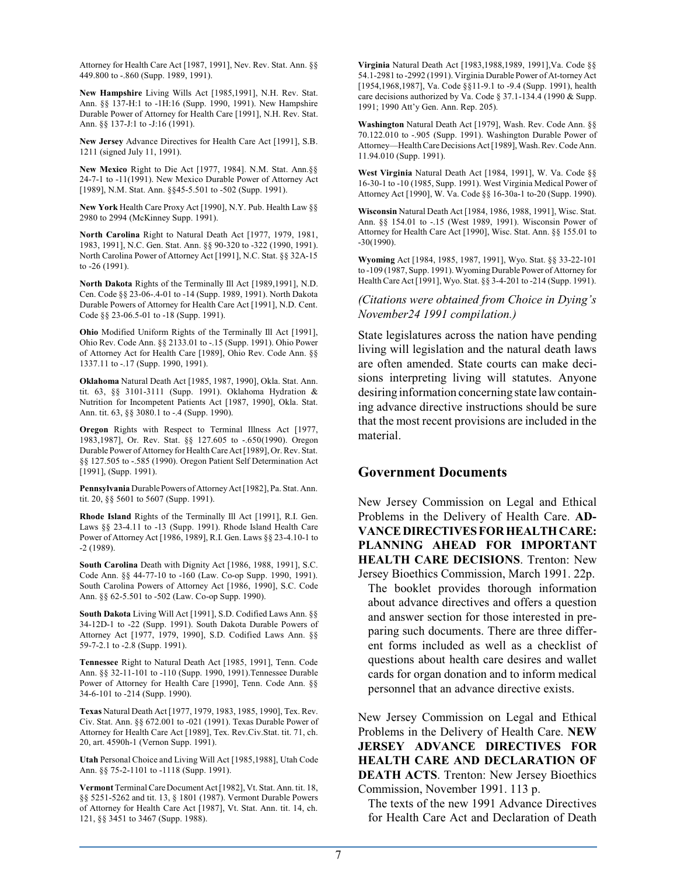Attorney for Health Care Act [1987, 1991], Nev. Rev. Stat. Ann. §§ 449.800 to -.860 (Supp. 1989, 1991).

**New Hampshire** Living Wills Act [1985,1991], N.H. Rev. Stat. Ann. §§ 137-H:1 to -1H:16 (Supp. 1990, 1991). New Hampshire Durable Power of Attorney for Health Care [1991], N.H. Rev. Stat. Ann. §§ 137-J:1 to -J:16 (1991).

**New Jersey** Advance Directives for Health Care Act [1991], S.B. 1211 (signed July 11, 1991).

**New Mexico** Right to Die Act [1977, 1984]. N.M. Stat. Ann.§§ 24-7-1 to -11(1991). New Mexico Durable Power of Attorney Act [1989], N.M. Stat. Ann. §§45-5.501 to -502 (Supp. 1991).

**New York** Health Care Proxy Act [1990], N.Y. Pub. Health Law §§ 2980 to 2994 (McKinney Supp. 1991).

**North Carolina** Right to Natural Death Act [1977, 1979, 1981, 1983, 1991], N.C. Gen. Stat. Ann. §§ 90-320 to -322 (1990, 1991). North Carolina Power of Attorney Act [1991], N.C. Stat. §§ 32A-15 to -26 (1991).

**North Dakota** Rights of the Terminally Ill Act [1989,1991], N.D. Cen. Code §§ 23-06-.4-01 to -14 (Supp. 1989, 1991). North Dakota Durable Powers of Attorney for Health Care Act [1991], N.D. Cent. Code §§ 23-06.5-01 to -18 (Supp. 1991).

**Ohio** Modified Uniform Rights of the Terminally Ill Act [1991], Ohio Rev. Code Ann. §§ 2133.01 to -.15 (Supp. 1991). Ohio Power of Attorney Act for Health Care [1989], Ohio Rev. Code Ann. §§ 1337.11 to -.17 (Supp. 1990, 1991).

**Oklahoma** Natural Death Act [1985, 1987, 1990], Okla. Stat. Ann. tit. 63, §§ 3101-3111 (Supp. 1991). Oklahoma Hydration & Nutrition for Incompetent Patients Act [1987, 1990], Okla. Stat. Ann. tit. 63, §§ 3080.1 to -.4 (Supp. 1990).

**Oregon** Rights with Respect to Terminal Illness Act [1977, 1983,1987], Or. Rev. Stat. §§ 127.605 to -.650(1990). Oregon Durable Power of Attorney for Health CareAct[1989], Or. Rev. Stat. §§ 127.505 to -.585 (1990). Oregon Patient Self Determination Act [1991], (Supp. 1991).

Pennsylvania Durable Powers of Attorney Act [1982], Pa. Stat. Ann. tit. 20, §§ 5601 to 5607 (Supp. 1991).

**Rhode Island** Rights of the Terminally Ill Act [1991], R.I. Gen. Laws §§ 23-4.11 to -13 (Supp. 1991). Rhode Island Health Care Power of Attorney Act [1986, 1989], R.I. Gen. Laws §§ 23-4.10-1 to -2 (1989).

**South Carolina** Death with Dignity Act [1986, 1988, 1991], S.C. Code Ann. §§ 44-77-10 to -160 (Law. Co-op Supp. 1990, 1991). South Carolina Powers of Attorney Act [1986, 1990], S.C. Code Ann. §§ 62-5.501 to -502 (Law. Co-op Supp. 1990).

**South Dakota** Living Will Act [1991], S.D. Codified Laws Ann. §§ 34-12D-1 to -22 (Supp. 1991). South Dakota Durable Powers of Attorney Act [1977, 1979, 1990], S.D. Codified Laws Ann. §§ 59-7-2.1 to -2.8 (Supp. 1991).

**Tennessee** Right to Natural Death Act [1985, 1991], Tenn. Code Ann. §§ 32-11-101 to -110 (Supp. 1990, 1991).Tennessee Durable Power of Attorney for Health Care [1990], Tenn. Code Ann. §§ 34-6-101 to -214 (Supp. 1990).

**Texas** Natural Death Act [1977, 1979, 1983, 1985, 1990], Tex. Rev. Civ. Stat. Ann. §§ 672.001 to -021 (1991). Texas Durable Power of Attorney for Health Care Act [1989], Tex. Rev.Civ.Stat. tit. 71, ch. 20, art. 4590h-1 (Vernon Supp. 1991).

**Utah** Personal Choice and Living Will Act [1985,1988], Utah Code Ann. §§ 75-2-1101 to -1118 (Supp. 1991).

**Vermont** TerminalCareDocument Act[1982], Vt. Stat. Ann. tit. 18, §§ 5251-5262 and tit. 13, § 1801 (1987). Vermont Durable Powers of Attorney for Health Care Act [1987], Vt. Stat. Ann. tit. 14, ch. 121, §§ 3451 to 3467 (Supp. 1988).

**Virginia** Natural Death Act [1983,1988,1989, 1991],Va. Code §§ 54.1-2981 to -2992 (1991). Virginia Durable Power of At-torney Act [1954,1968,1987], Va. Code §§11-9.1 to -9.4 (Supp. 1991), health care decisions authorized by Va. Code § 37.1-134.4 (1990 & Supp. 1991; 1990 Att'y Gen. Ann. Rep. 205).

**Washington** Natural Death Act [1979], Wash. Rev. Code Ann. §§ 70.122.010 to -.905 (Supp. 1991). Washington Durable Power of Attorney—Health Care Decisions Act [1989], Wash. Rev. Code Ann. 11.94.010 (Supp. 1991).

**West Virginia** Natural Death Act [1984, 1991], W. Va. Code §§ 16-30-1 to -10 (1985, Supp. 1991). West Virginia Medical Power of Attorney Act [1990], W. Va. Code §§ 16-30a-1 to-20 (Supp. 1990).

**Wisconsin** Natural Death Act [1984, 1986, 1988, 1991], Wisc. Stat. Ann. §§ 154.01 to -.15 (West 1989, 1991). Wisconsin Power of Attorney for Health Care Act [1990], Wisc. Stat. Ann. §§ 155.01 to -30(1990).

**Wyoming** Act [1984, 1985, 1987, 1991], Wyo. Stat. §§ 33-22-101 to -109 (1987, Supp. 1991). Wyoming Durable Power of Attorney for Health Care Act [1991], Wyo. Stat. §§ 3-4-201 to -214 (Supp. 1991).

#### *(Citations were obtained from Choice in Dying's November24 1991 compilation.)*

State legislatures across the nation have pending living will legislation and the natural death laws are often amended. State courts can make decisions interpreting living will statutes. Anyone desiring information concerning state lawcontaining advance directive instructions should be sure that the most recent provisions are included in the material.

#### **Government Documents**

New Jersey Commission on Legal and Ethical Problems in the Delivery of Health Care. **AD-VANCEDIRECTIVESFORHEALTH CARE: PLANNING AHEAD FOR IMPORTANT HEALTH CARE DECISIONS**. Trenton: New Jersey Bioethics Commission, March 1991. 22p.

The booklet provides thorough information about advance directives and offers a question and answer section for those interested in preparing such documents. There are three different forms included as well as a checklist of questions about health care desires and wallet cards for organ donation and to inform medical personnel that an advance directive exists.

New Jersey Commission on Legal and Ethical Problems in the Delivery of Health Care. **NEW JERSEY ADVANCE DIRECTIVES FOR HEALTH CARE AND DECLARATION OF DEATH ACTS**. Trenton: New Jersey Bioethics Commission, November 1991. 113 p.

The texts of the new 1991 Advance Directives for Health Care Act and Declaration of Death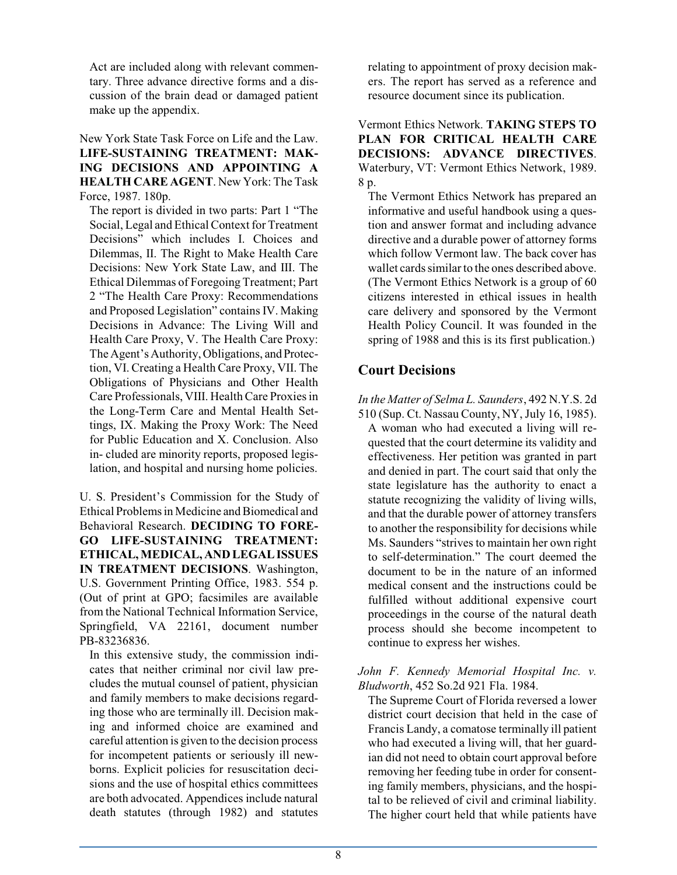Act are included along with relevant commentary. Three advance directive forms and a discussion of the brain dead or damaged patient make up the appendix.

New York State Task Force on Life and the Law. **LIFE-SUSTAINING TREATMENT: MAK-ING DECISIONS AND APPOINTING A HEALTH CARE AGENT**. New York: The Task Force, 1987. 180p.

The report is divided in two parts: Part 1 "The Social, Legal and Ethical Context for Treatment Decisions" which includes I. Choices and Dilemmas, II. The Right to Make Health Care Decisions: New York State Law, and III. The Ethical Dilemmas of Foregoing Treatment; Part 2 "The Health Care Proxy: Recommendations and Proposed Legislation" contains IV. Making Decisions in Advance: The Living Will and Health Care Proxy, V. The Health Care Proxy: The Agent's Authority, Obligations, and Protection, VI. Creating a Health Care Proxy, VII. The Obligations of Physicians and Other Health Care Professionals, VIII. Health Care Proxies in the Long-Term Care and Mental Health Settings, IX. Making the Proxy Work: The Need for Public Education and X. Conclusion. Also in- cluded are minority reports, proposed legislation, and hospital and nursing home policies.

U. S. President's Commission for the Study of Ethical Problems in Medicine and Biomedical and Behavioral Research. **DECIDING TO FORE-GO LIFE-SUSTAINING TREATMENT: ETHICAL, MEDICAL, AND LEGAL ISSUES IN TREATMENT DECISIONS**. Washington, U.S. Government Printing Office, 1983. 554 p. (Out of print at GPO; facsimiles are available from the National Technical Information Service, Springfield, VA 22161, document number PB-83236836.

In this extensive study, the commission indicates that neither criminal nor civil law precludes the mutual counsel of patient, physician and family members to make decisions regarding those who are terminally ill. Decision making and informed choice are examined and careful attention is given to the decision process for incompetent patients or seriously ill newborns. Explicit policies for resuscitation decisions and the use of hospital ethics committees are both advocated. Appendices include natural death statutes (through 1982) and statutes relating to appointment of proxy decision makers. The report has served as a reference and resource document since its publication.

Vermont Ethics Network. **TAKING STEPS TO PLAN FOR CRITICAL HEALTH CARE DECISIONS: ADVANCE DIRECTIVES**. Waterbury, VT: Vermont Ethics Network, 1989. 8 p.

The Vermont Ethics Network has prepared an informative and useful handbook using a question and answer format and including advance directive and a durable power of attorney forms which follow Vermont law. The back cover has wallet cards similar to the ones described above. (The Vermont Ethics Network is a group of 60 citizens interested in ethical issues in health care delivery and sponsored by the Vermont Health Policy Council. It was founded in the spring of 1988 and this is its first publication.)

## **Court Decisions**

*In the Matter of Selma L. Saunders*, 492 N.Y.S. 2d 510 (Sup. Ct. Nassau County, NY, July 16, 1985).

A woman who had executed a living will requested that the court determine its validity and effectiveness. Her petition was granted in part and denied in part. The court said that only the state legislature has the authority to enact a statute recognizing the validity of living wills, and that the durable power of attorney transfers to another the responsibility for decisions while Ms. Saunders "strives to maintain her own right to self-determination." The court deemed the document to be in the nature of an informed medical consent and the instructions could be fulfilled without additional expensive court proceedings in the course of the natural death process should she become incompetent to continue to express her wishes.

#### *John F. Kennedy Memorial Hospital Inc. v. Bludworth*, 452 So.2d 921 Fla. 1984.

The Supreme Court of Florida reversed a lower district court decision that held in the case of Francis Landy, a comatose terminally ill patient who had executed a living will, that her guardian did not need to obtain court approval before removing her feeding tube in order for consenting family members, physicians, and the hospital to be relieved of civil and criminal liability. The higher court held that while patients have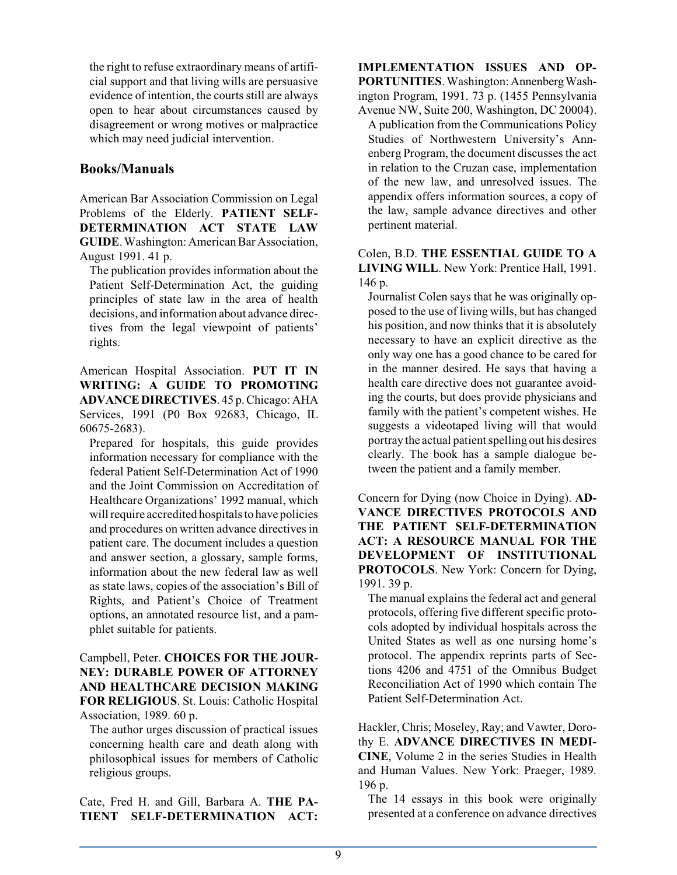the right to refuse extraordinary means of artificial support and that living wills are persuasive evidence of intention, the courts still are always open to hear about circumstances caused by disagreement or wrong motives or malpractice which may need judicial intervention.

## **Books/Manuals**

American Bar Association Commission on Legal Problems of the Elderly. **PATIENT SELF-DETERMINATION ACT STATE LAW GUIDE**. Washington: American Bar Association, August 1991. 41 p.

The publication provides information about the Patient Self-Determination Act, the guiding principles of state law in the area of health decisions, and information about advance directives from the legal viewpoint of patients' rights.

American Hospital Association. **PUT IT IN WRITING: A GUIDE TO PROMOTING ADVANCE DIRECTIVES**. 45 p. Chicago: AHA Services, 1991 (P0 Box 92683, Chicago, IL 60675-2683).

Prepared for hospitals, this guide provides information necessary for compliance with the federal Patient Self-Determination Act of 1990 and the Joint Commission on Accreditation of Healthcare Organizations' 1992 manual, which will require accredited hospitals to have policies and procedures on written advance directives in patient care. The document includes a question and answer section, a glossary, sample forms, information about the new federal law as well as state laws, copies of the association's Bill of Rights, and Patient's Choice of Treatment options, an annotated resource list, and a pamphlet suitable for patients.

### Campbell, Peter. **CHOICES FOR THE JOUR-NEY: DURABLE POWER OF ATTORNEY AND HEALTHCARE DECISION MAKING FOR RELIGIOUS**. St. Louis: Catholic Hospital Association, 1989. 60 p.

The author urges discussion of practical issues concerning health care and death along with philosophical issues for members of Catholic religious groups.

Cate, Fred H. and Gill, Barbara A. **THE PA-TIENT SELF-DETERMINATION ACT:** **IMPLEMENTATION ISSUES AND OP-PORTUNITIES**. Washington: Annenberg Washington Program, 1991. 73 p. (1455 Pennsylvania Avenue NW, Suite 200, Washington, DC 20004). A publication from the Communications Policy

Studies of Northwestern University's Annenberg Program, the document discusses the act in relation to the Cruzan case, implementation of the new law, and unresolved issues. The appendix offers information sources, a copy of the law, sample advance directives and other pertinent material.

Colen, B.D. **THE ESSENTIAL GUIDE TO A LIVING WILL**. New York: Prentice Hall, 1991. 146 p.

Journalist Colen says that he was originally opposed to the use of living wills, but has changed his position, and now thinks that it is absolutely necessary to have an explicit directive as the only way one has a good chance to be cared for in the manner desired. He says that having a health care directive does not guarantee avoiding the courts, but does provide physicians and family with the patient's competent wishes. He suggests a videotaped living will that would portray the actual patient spelling out his desires clearly. The book has a sample dialogue between the patient and a family member.

Concern for Dying (now Choice in Dying). **AD-VANCE DIRECTIVES PROTOCOLS AND THE PATIENT SELF-DETERMINATION ACT: A RESOURCE MANUAL FOR THE DEVELOPMENT OF INSTITUTIONAL PROTOCOLS**. New York: Concern for Dying, 1991. 39 p.

The manual explains the federal act and general protocols, offering five different specific protocols adopted by individual hospitals across the United States as well as one nursing home's protocol. The appendix reprints parts of Sections 4206 and 4751 of the Omnibus Budget Reconciliation Act of 1990 which contain The Patient Self-Determination Act.

Hackler, Chris; Moseley, Ray; and Vawter, Dorothy E. **ADVANCE DIRECTIVES IN MEDI-CINE**, Volume 2 in the series Studies in Health and Human Values. New York: Praeger, 1989. 196 p.

The 14 essays in this book were originally presented at a conference on advance directives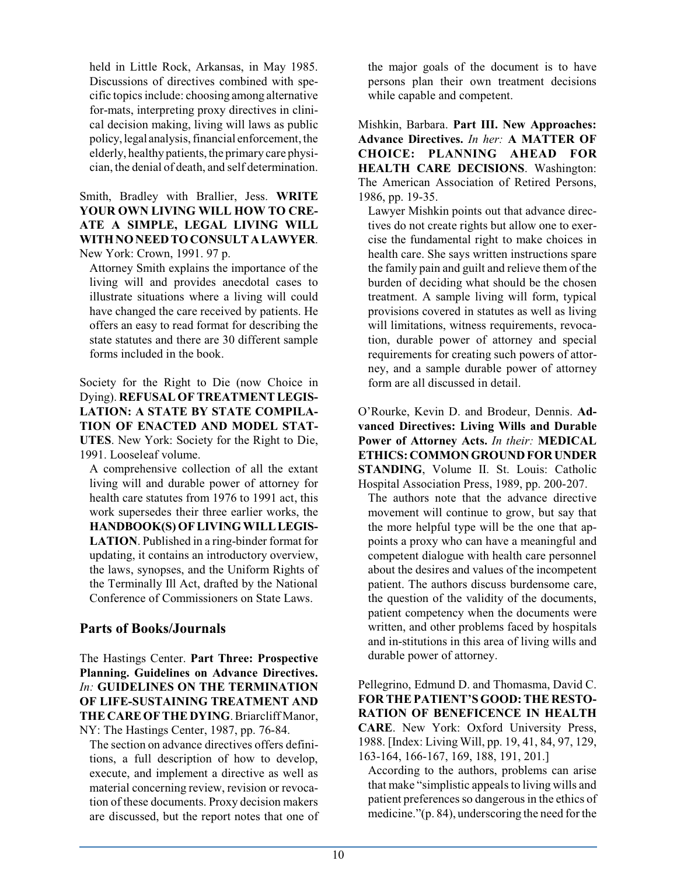held in Little Rock, Arkansas, in May 1985. Discussions of directives combined with specific topics include: choosing among alternative for-mats, interpreting proxy directives in clinical decision making, living will laws as public policy,legal analysis, financial enforcement, the elderly, healthy patients, the primary care physician, the denial of death, and self determination.

#### Smith, Bradley with Brallier, Jess. **WRITE YOUR OWN LIVING WILL HOW TO CRE-ATE A SIMPLE, LEGAL LIVING WILL WITH NONEED TOCONSULT ALAWYER**. New York: Crown, 1991. 97 p.

Attorney Smith explains the importance of the living will and provides anecdotal cases to illustrate situations where a living will could have changed the care received by patients. He offers an easy to read format for describing the state statutes and there are 30 different sample forms included in the book.

Society for the Right to Die (now Choice in Dying). **REFUSAL OF TREATMENT LEGIS-LATION: A STATE BY STATE COMPILA-TION OF ENACTED AND MODEL STAT-UTES**. New York: Society for the Right to Die, 1991. Looseleaf volume.

A comprehensive collection of all the extant living will and durable power of attorney for health care statutes from 1976 to 1991 act, this work supersedes their three earlier works, the **HANDBOOK(S)OFLIVING WILLLEGIS-LATION**. Published in a ring-binder format for updating, it contains an introductory overview, the laws, synopses, and the Uniform Rights of the Terminally Ill Act, drafted by the National Conference of Commissioners on State Laws.

## **Parts of Books/Journals**

The Hastings Center. **Part Three: Prospective Planning. Guidelines on Advance Directives.** *In:* **GUIDELINES ON THE TERMINATION OF LIFE-SUSTAINING TREATMENT AND THE CARE OFTHE DYING**. Briarcliff Manor, NY: The Hastings Center, 1987, pp. 76-84.

The section on advance directives offers definitions, a full description of how to develop, execute, and implement a directive as well as material concerning review, revision or revocation of these documents. Proxy decision makers are discussed, but the report notes that one of

the major goals of the document is to have persons plan their own treatment decisions while capable and competent.

Mishkin, Barbara. **Part III. New Approaches: Advance Directives.** *In her:* **A MATTER OF CHOICE: PLANNING AHEAD FOR HEALTH CARE DECISIONS**. Washington: The American Association of Retired Persons, 1986, pp. 19-35.

Lawyer Mishkin points out that advance directives do not create rights but allow one to exercise the fundamental right to make choices in health care. She says written instructions spare the family pain and guilt and relieve them of the burden of deciding what should be the chosen treatment. A sample living will form, typical provisions covered in statutes as well as living will limitations, witness requirements, revocation, durable power of attorney and special requirements for creating such powers of attorney, and a sample durable power of attorney form are all discussed in detail.

O'Rourke, Kevin D. and Brodeur, Dennis. **Advanced Directives: Living Wills and Durable Power of Attorney Acts.** *In their:* **MEDICAL ETHICS: COMMON GROUND FOR UNDER STANDING**, Volume II. St. Louis: Catholic Hospital Association Press, 1989, pp. 200-207.

The authors note that the advance directive movement will continue to grow, but say that the more helpful type will be the one that appoints a proxy who can have a meaningful and competent dialogue with health care personnel about the desires and values of the incompetent patient. The authors discuss burdensome care, the question of the validity of the documents, patient competency when the documents were written, and other problems faced by hospitals and in-stitutions in this area of living wills and durable power of attorney.

Pellegrino, Edmund D. and Thomasma, David C. **FOR THEPATIENT'S GOOD:THE RESTO-RATION OF BENEFICENCE IN HEALTH CARE**. New York: Oxford University Press, 1988. [Index: Living Will, pp. 19, 41, 84, 97, 129, 163-164, 166-167, 169, 188, 191, 201.]

According to the authors, problems can arise that make "simplistic appeals to living wills and patient preferences so dangerous in the ethics of medicine."(p. 84), underscoring the need for the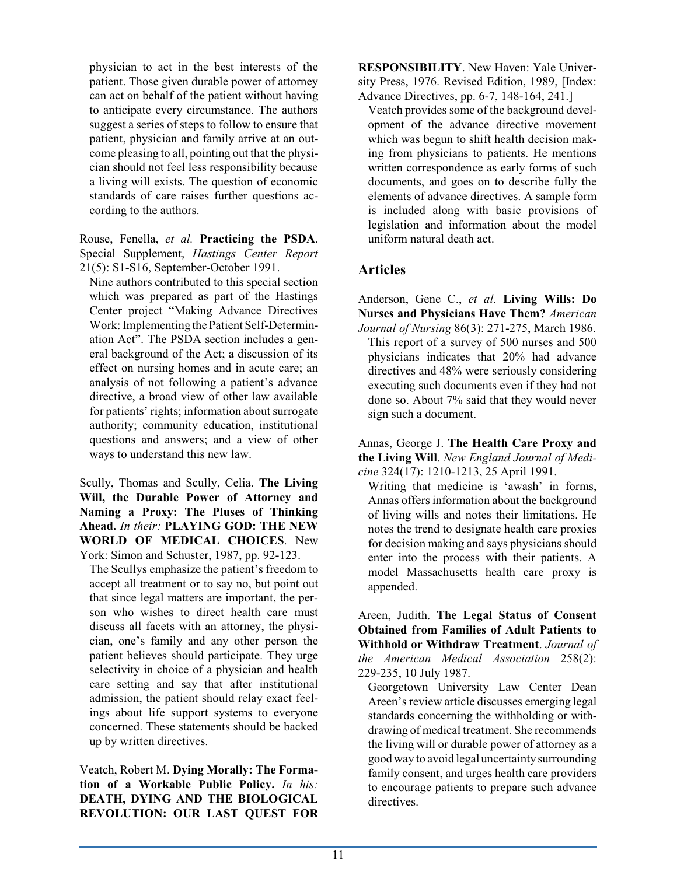physician to act in the best interests of the patient. Those given durable power of attorney can act on behalf of the patient without having to anticipate every circumstance. The authors suggest a series of steps to follow to ensure that patient, physician and family arrive at an outcome pleasing to all, pointing out that the physician should not feel less responsibility because a living will exists. The question of economic standards of care raises further questions according to the authors.

Rouse, Fenella, *et al.* **Practicing the PSDA**. Special Supplement, *Hastings Center Report* 21(5): S1-S16, September-October 1991.

Nine authors contributed to this special section which was prepared as part of the Hastings Center project "Making Advance Directives Work: Implementing the Patient Self-Determination Act". The PSDA section includes a general background of the Act; a discussion of its effect on nursing homes and in acute care; an analysis of not following a patient's advance directive, a broad view of other law available for patients' rights; information about surrogate authority; community education, institutional questions and answers; and a view of other ways to understand this new law.

Scully, Thomas and Scully, Celia. **The Living Will, the Durable Power of Attorney and Naming a Proxy: The Pluses of Thinking Ahead.** *In their:* **PLAYING GOD: THE NEW WORLD OF MEDICAL CHOICES**. New York: Simon and Schuster, 1987, pp. 92-123.

The Scullys emphasize the patient's freedom to accept all treatment or to say no, but point out that since legal matters are important, the person who wishes to direct health care must discuss all facets with an attorney, the physician, one's family and any other person the patient believes should participate. They urge selectivity in choice of a physician and health care setting and say that after institutional admission, the patient should relay exact feelings about life support systems to everyone concerned. These statements should be backed up by written directives.

Veatch, Robert M. **Dying Morally: The Formation of a Workable Public Policy.** *In his:* **DEATH, DYING AND THE BIOLOGICAL REVOLUTION: OUR LAST QUEST FOR** **RESPONSIBILITY**. New Haven: Yale University Press, 1976. Revised Edition, 1989, [Index: Advance Directives, pp. 6-7, 148-164, 241.]

Veatch provides some of the background development of the advance directive movement which was begun to shift health decision making from physicians to patients. He mentions written correspondence as early forms of such documents, and goes on to describe fully the elements of advance directives. A sample form is included along with basic provisions of legislation and information about the model uniform natural death act.

## **Articles**

Anderson, Gene C., *et al.* **Living Wills: Do Nurses and Physicians Have Them?** *American Journal of Nursing* 86(3): 271-275, March 1986.

This report of a survey of 500 nurses and 500 physicians indicates that 20% had advance directives and 48% were seriously considering executing such documents even if they had not done so. About 7% said that they would never sign such a document.

Annas, George J. **The Health Care Proxy and the Living Will**. *New England Journal of Medicine* 324(17): 1210-1213, 25 April 1991.

Writing that medicine is 'awash' in forms, Annas offers information about the background of living wills and notes their limitations. He notes the trend to designate health care proxies for decision making and says physicians should enter into the process with their patients. A model Massachusetts health care proxy is appended.

Areen, Judith. **The Legal Status of Consent Obtained from Families of Adult Patients to Withhold or Withdraw Treatment**. *Journal of the American Medical Association* 258(2): 229-235, 10 July 1987.

Georgetown University Law Center Dean Areen's review article discusses emerging legal standards concerning the withholding or withdrawing of medical treatment. She recommends the living will or durable power of attorney as a good way to avoid legal uncertainty surrounding family consent, and urges health care providers to encourage patients to prepare such advance directives.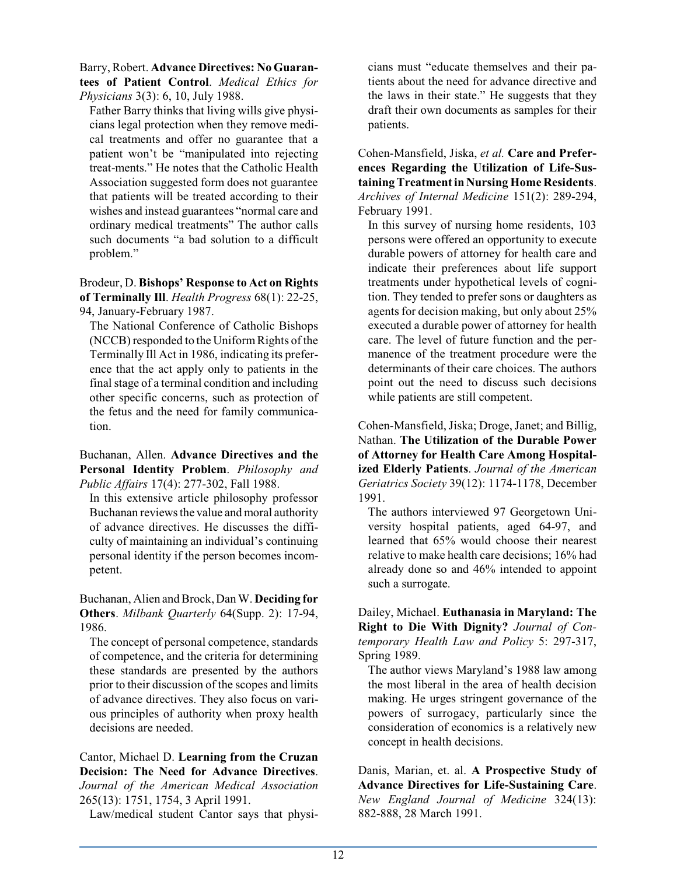Barry, Robert. **Advance Directives: No Guarantees of Patient Control**. *Medical Ethics for*

*Physicians* 3(3): 6, 10, July 1988.

Father Barry thinks that living wills give physicians legal protection when they remove medical treatments and offer no guarantee that a patient won't be "manipulated into rejecting treat-ments." He notes that the Catholic Health Association suggested form does not guarantee that patients will be treated according to their wishes and instead guarantees "normal care and ordinary medical treatments" The author calls such documents "a bad solution to a difficult problem."

Brodeur, D. **Bishops' Response to Act on Rights of Terminally Ill**. *Health Progress* 68(1): 22-25, 94, January-February 1987.

The National Conference of Catholic Bishops (NCCB) responded to the UniformRights of the Terminally Ill Act in 1986, indicating its preference that the act apply only to patients in the final stage of a terminal condition and including other specific concerns, such as protection of the fetus and the need for family communication.

Buchanan, Allen. **Advance Directives and the Personal Identity Problem**. *Philosophy and Public Affairs* 17(4): 277-302, Fall 1988.

In this extensive article philosophy professor Buchanan reviews the value and moral authority of advance directives. He discusses the difficulty of maintaining an individual's continuing personal identity if the person becomes incompetent.

Buchanan, Alien and Brock, Dan W. **Deciding for Others**. *Milbank Quarterly* 64(Supp. 2): 17-94, 1986.

The concept of personal competence, standards of competence, and the criteria for determining these standards are presented by the authors prior to their discussion of the scopes and limits of advance directives. They also focus on various principles of authority when proxy health decisions are needed.

Cantor, Michael D. **Learning from the Cruzan Decision: The Need for Advance Directives**. *Journal of the American Medical Association* 265(13): 1751, 1754, 3 April 1991.

Law/medical student Cantor says that physi-

cians must "educate themselves and their patients about the need for advance directive and the laws in their state." He suggests that they draft their own documents as samples for their patients.

Cohen-Mansfield, Jiska, *et al.* **Care and Preferences Regarding the Utilization of Life-Sustaining Treatmentin Nursing Home Residents**. *Archives of Internal Medicine* 151(2): 289-294, February 1991.

In this survey of nursing home residents, 103 persons were offered an opportunity to execute durable powers of attorney for health care and indicate their preferences about life support treatments under hypothetical levels of cognition. They tended to prefer sons or daughters as agents for decision making, but only about 25% executed a durable power of attorney for health care. The level of future function and the permanence of the treatment procedure were the determinants of their care choices. The authors point out the need to discuss such decisions while patients are still competent.

Cohen-Mansfield, Jiska; Droge, Janet; and Billig, Nathan. **The Utilization of the Durable Power of Attorney for Health Care Among Hospitalized Elderly Patients**. *Journal of the American Geriatrics Society* 39(12): 1174-1178, December 1991.

The authors interviewed 97 Georgetown University hospital patients, aged 64-97, and learned that 65% would choose their nearest relative to make health care decisions; 16% had already done so and 46% intended to appoint such a surrogate.

Dailey, Michael. **Euthanasia in Maryland: The Right to Die With Dignity?** *Journal of Contemporary Health Law and Policy* 5: 297-317, Spring 1989.

The author views Maryland's 1988 law among the most liberal in the area of health decision making. He urges stringent governance of the powers of surrogacy, particularly since the consideration of economics is a relatively new concept in health decisions.

Danis, Marian, et. al. **A Prospective Study of Advance Directives for Life-Sustaining Care**. *New England Journal of Medicine* 324(13): 882-888, 28 March 1991.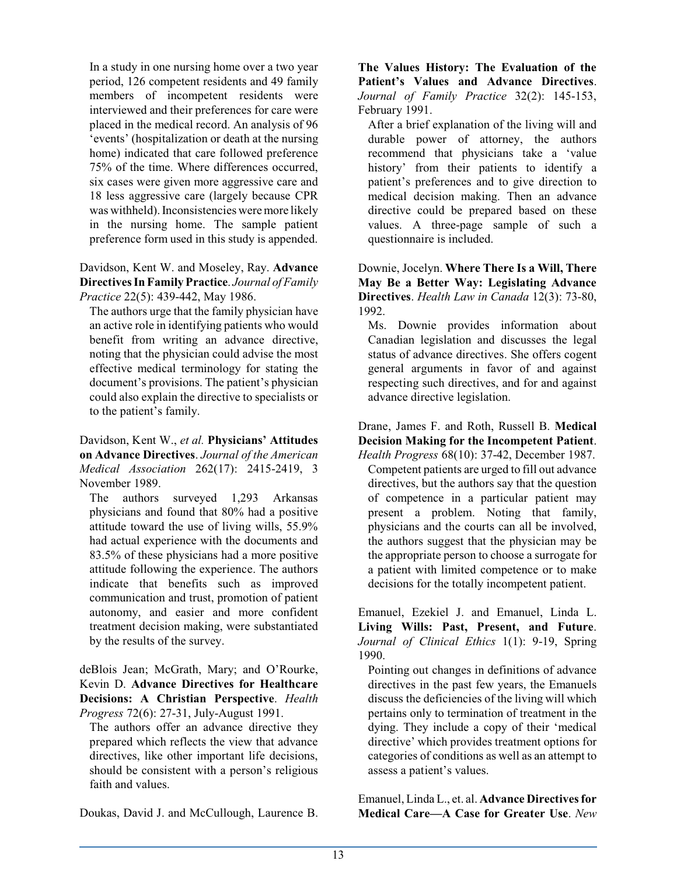In a study in one nursing home over a two year period, 126 competent residents and 49 family members of incompetent residents were interviewed and their preferences for care were placed in the medical record. An analysis of 96 'events' (hospitalization or death at the nursing home) indicated that care followed preference 75% of the time. Where differences occurred, six cases were given more aggressive care and 18 less aggressive care (largely because CPR was withheld). Inconsistencies were more likely in the nursing home. The sample patient preference form used in this study is appended.

Davidson, Kent W. and Moseley, Ray. **Advance Directives In Family Practice**. *Journal ofFamily Practice* 22(5): 439-442, May 1986.

The authors urge that the family physician have an active role in identifying patients who would benefit from writing an advance directive, noting that the physician could advise the most effective medical terminology for stating the document's provisions. The patient's physician could also explain the directive to specialists or to the patient's family.

Davidson, Kent W., *et al.* **Physicians' Attitudes on Advance Directives**. *Journal of the American Medical Association* 262(17): 2415-2419, 3 November 1989.

The authors surveyed 1,293 Arkansas physicians and found that 80% had a positive attitude toward the use of living wills, 55.9% had actual experience with the documents and 83.5% of these physicians had a more positive attitude following the experience. The authors indicate that benefits such as improved communication and trust, promotion of patient autonomy, and easier and more confident treatment decision making, were substantiated by the results of the survey.

deBlois Jean; McGrath, Mary; and O'Rourke, Kevin D. **Advance Directives for Healthcare Decisions: A Christian Perspective**. *Health Progress* 72(6): 27-31, July-August 1991.

The authors offer an advance directive they prepared which reflects the view that advance directives, like other important life decisions, should be consistent with a person's religious faith and values.

Doukas, David J. and McCullough, Laurence B.

**The Values History: The Evaluation of the Patient's Values and Advance Directives**. *Journal of Family Practice* 32(2): 145-153, February 1991.

After a brief explanation of the living will and durable power of attorney, the authors recommend that physicians take a 'value history' from their patients to identify a patient's preferences and to give direction to medical decision making. Then an advance directive could be prepared based on these values. A three-page sample of such a questionnaire is included.

Downie, Jocelyn. **Where There Is a Will, There May Be a Better Way: Legislating Advance Directives**. *Health Law in Canada* 12(3): 73-80, 1992.

Ms. Downie provides information about Canadian legislation and discusses the legal status of advance directives. She offers cogent general arguments in favor of and against respecting such directives, and for and against advance directive legislation.

Drane, James F. and Roth, Russell B. **Medical Decision Making for the Incompetent Patient**.

*Health Progress* 68(10): 37-42, December 1987. Competent patients are urged to fill out advance directives, but the authors say that the question of competence in a particular patient may present a problem. Noting that family, physicians and the courts can all be involved, the authors suggest that the physician may be the appropriate person to choose a surrogate for a patient with limited competence or to make decisions for the totally incompetent patient.

Emanuel, Ezekiel J. and Emanuel, Linda L. **Living Wills: Past, Present, and Future**. *Journal of Clinical Ethics* 1(1): 9-19, Spring 1990.

Pointing out changes in definitions of advance directives in the past few years, the Emanuels discuss the deficiencies of the living will which pertains only to termination of treatment in the dying. They include a copy of their 'medical directive' which provides treatment options for categories of conditions as well as an attempt to assess a patient's values.

Emanuel, Linda L., et. al. **Advance Directives for Medical Care—A Case for Greater Use**. *New*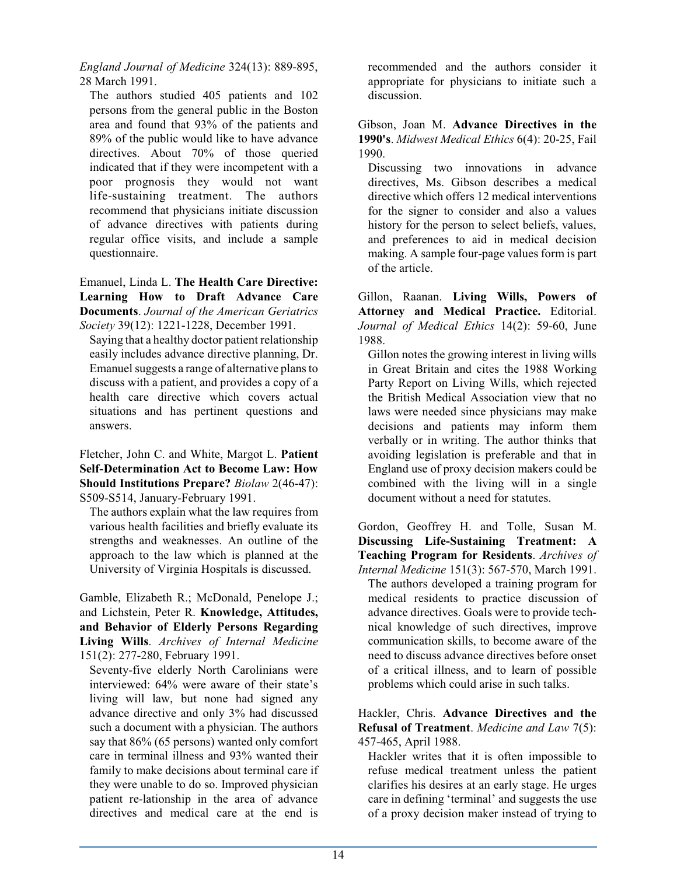*England Journal of Medicine* 324(13): 889-895, 28 March 1991.

The authors studied 405 patients and 102 persons from the general public in the Boston area and found that 93% of the patients and 89% of the public would like to have advance directives. About 70% of those queried indicated that if they were incompetent with a poor prognosis they would not want life-sustaining treatment. The authors recommend that physicians initiate discussion of advance directives with patients during regular office visits, and include a sample questionnaire.

Emanuel, Linda L. **The Health Care Directive: Learning How to Draft Advance Care Documents**. *Journal of the American Geriatrics Society* 39(12): 1221-1228, December 1991.

Saying that a healthy doctor patient relationship easily includes advance directive planning, Dr. Emanuel suggests a range of alternative plans to discuss with a patient, and provides a copy of a health care directive which covers actual situations and has pertinent questions and answers.

Fletcher, John C. and White, Margot L. **Patient Self-Determination Act to Become Law: How Should Institutions Prepare?** *Biolaw* 2(46-47): S509-S514, January-February 1991.

The authors explain what the law requires from various health facilities and briefly evaluate its strengths and weaknesses. An outline of the approach to the law which is planned at the University of Virginia Hospitals is discussed.

Gamble, Elizabeth R.; McDonald, Penelope J.; and Lichstein, Peter R. **Knowledge, Attitudes, and Behavior of Elderly Persons Regarding Living Wills**. *Archives of Internal Medicine* 151(2): 277-280, February 1991.

Seventy-five elderly North Carolinians were interviewed: 64% were aware of their state's living will law, but none had signed any advance directive and only 3% had discussed such a document with a physician. The authors say that 86% (65 persons) wanted only comfort care in terminal illness and 93% wanted their family to make decisions about terminal care if they were unable to do so. Improved physician patient re-lationship in the area of advance directives and medical care at the end is

recommended and the authors consider it appropriate for physicians to initiate such a discussion.

Gibson, Joan M. **Advance Directives in the 1990's**. *Midwest Medical Ethics* 6(4): 20-25, Fail 1990.

Discussing two innovations in advance directives, Ms. Gibson describes a medical directive which offers 12 medical interventions for the signer to consider and also a values history for the person to select beliefs, values, and preferences to aid in medical decision making. A sample four-page values form is part of the article.

Gillon, Raanan. **Living Wills, Powers of Attorney and Medical Practice.** Editorial. *Journal of Medical Ethics* 14(2): 59-60, June 1988.

Gillon notes the growing interest in living wills in Great Britain and cites the 1988 Working Party Report on Living Wills, which rejected the British Medical Association view that no laws were needed since physicians may make decisions and patients may inform them verbally or in writing. The author thinks that avoiding legislation is preferable and that in England use of proxy decision makers could be combined with the living will in a single document without a need for statutes.

Gordon, Geoffrey H. and Tolle, Susan M. **Discussing Life-Sustaining Treatment: A Teaching Program for Residents**. *Archives of*

*Internal Medicine* 151(3): 567-570, March 1991. The authors developed a training program for medical residents to practice discussion of advance directives. Goals were to provide technical knowledge of such directives, improve communication skills, to become aware of the need to discuss advance directives before onset of a critical illness, and to learn of possible problems which could arise in such talks.

Hackler, Chris. **Advance Directives and the Refusal of Treatment**. *Medicine and Law* 7(5): 457-465, April 1988.

Hackler writes that it is often impossible to refuse medical treatment unless the patient clarifies his desires at an early stage. He urges care in defining 'terminal' and suggests the use of a proxy decision maker instead of trying to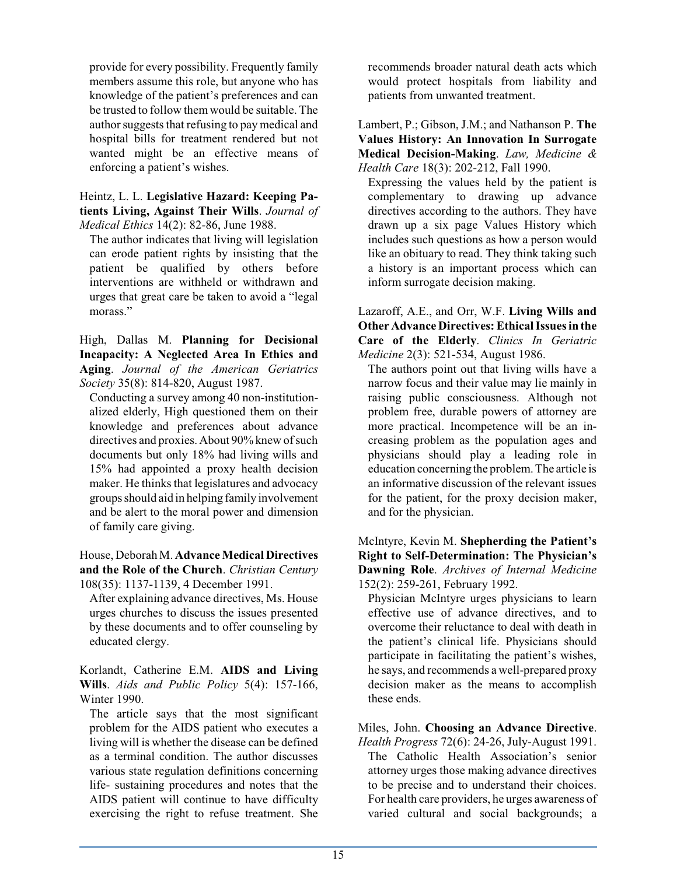provide for every possibility. Frequently family members assume this role, but anyone who has knowledge of the patient's preferences and can be trusted to follow themwould be suitable. The author suggests that refusing to pay medical and hospital bills for treatment rendered but not wanted might be an effective means of enforcing a patient's wishes.

#### Heintz, L. L. **Legislative Hazard: Keeping Patients Living, Against Their Wills**. *Journal of Medical Ethics* 14(2): 82-86, June 1988.

The author indicates that living will legislation can erode patient rights by insisting that the patient be qualified by others before interventions are withheld or withdrawn and urges that great care be taken to avoid a "legal morass."

High, Dallas M. **Planning for Decisional Incapacity: A Neglected Area In Ethics and Aging**. *Journal of the American Geriatrics Society* 35(8): 814-820, August 1987.

Conducting a survey among 40 non-institutionalized elderly, High questioned them on their knowledge and preferences about advance directives and proxies. About 90% knew of such documents but only 18% had living wills and 15% had appointed a proxy health decision maker. He thinks that legislatures and advocacy groups should aid in helping family involvement and be alert to the moral power and dimension of family care giving.

House, Deborah M. **Advance Medical Directives and the Role of the Church**. *Christian Century* 108(35): 1137-1139, 4 December 1991.

After explaining advance directives, Ms. House urges churches to discuss the issues presented by these documents and to offer counseling by educated clergy.

Korlandt, Catherine E.M. **AIDS and Living Wills**. *Aids and Public Policy* 5(4): 157-166, Winter 1990.

The article says that the most significant problem for the AIDS patient who executes a living will is whether the disease can be defined as a terminal condition. The author discusses various state regulation definitions concerning life- sustaining procedures and notes that the AIDS patient will continue to have difficulty exercising the right to refuse treatment. She recommends broader natural death acts which would protect hospitals from liability and patients from unwanted treatment.

Lambert, P.; Gibson, J.M.; and Nathanson P. **The Values History: An Innovation In Surrogate Medical Decision-Making**. *Law, Medicine & Health Care* 18(3): 202-212, Fall 1990.

Expressing the values held by the patient is complementary to drawing up advance directives according to the authors. They have drawn up a six page Values History which includes such questions as how a person would like an obituary to read. They think taking such a history is an important process which can inform surrogate decision making.

Lazaroff, A.E., and Orr, W.F. **Living Wills and Other Advance Directives:EthicalIssues in the Care of the Elderly**. *Clinics In Geriatric Medicine* 2(3): 521-534, August 1986.

The authors point out that living wills have a narrow focus and their value may lie mainly in raising public consciousness. Although not problem free, durable powers of attorney are more practical. Incompetence will be an increasing problem as the population ages and physicians should play a leading role in education concerning the problem. The article is an informative discussion of the relevant issues for the patient, for the proxy decision maker, and for the physician.

McIntyre, Kevin M. **Shepherding the Patient's Right to Self-Determination: The Physician's Dawning Role**. *Archives of Internal Medicine* 152(2): 259-261, February 1992.

Physician McIntyre urges physicians to learn effective use of advance directives, and to overcome their reluctance to deal with death in the patient's clinical life. Physicians should participate in facilitating the patient's wishes, he says, and recommends a well-prepared proxy decision maker as the means to accomplish these ends.

Miles, John. **Choosing an Advance Directive**.

*Health Progress* 72(6): 24-26, July-August 1991. The Catholic Health Association's senior attorney urges those making advance directives to be precise and to understand their choices. For health care providers, he urges awareness of varied cultural and social backgrounds; a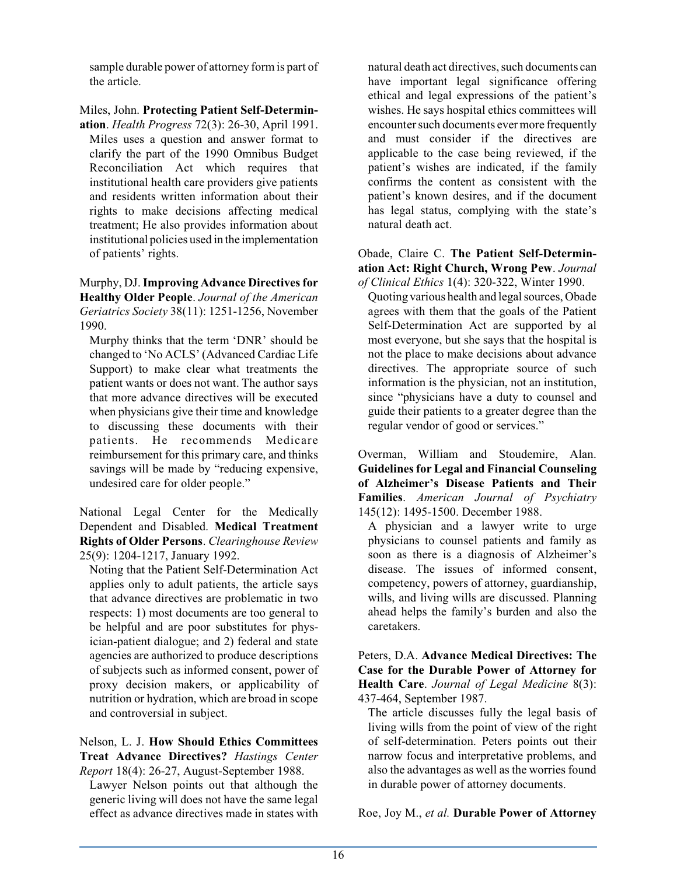sample durable power of attorney formis part of the article.

## Miles, John. **Protecting Patient Self-Determin-**

**ation**. *Health Progress* 72(3): 26-30, April 1991. Miles uses a question and answer format to clarify the part of the 1990 Omnibus Budget Reconciliation Act which requires that institutional health care providers give patients and residents written information about their rights to make decisions affecting medical treatment; He also provides information about institutional policies used in the implementation of patients' rights.

Murphy, DJ. **Improving Advance Directives for Healthy Older People**. *Journal of the American Geriatrics Society* 38(11): 1251-1256, November 1990.

Murphy thinks that the term 'DNR' should be changed to 'No ACLS' (Advanced Cardiac Life Support) to make clear what treatments the patient wants or does not want. The author says that more advance directives will be executed when physicians give their time and knowledge to discussing these documents with their patients. He recommends Medicare reimbursement for this primary care, and thinks savings will be made by "reducing expensive, undesired care for older people."

National Legal Center for the Medically Dependent and Disabled. **Medical Treatment Rights of Older Persons**. *Clearinghouse Review* 25(9): 1204-1217, January 1992.

Noting that the Patient Self-Determination Act applies only to adult patients, the article says that advance directives are problematic in two respects: 1) most documents are too general to be helpful and are poor substitutes for physician-patient dialogue; and 2) federal and state agencies are authorized to produce descriptions of subjects such as informed consent, power of proxy decision makers, or applicability of nutrition or hydration, which are broad in scope and controversial in subject.

#### Nelson, L. J. **How Should Ethics Committees Treat Advance Directives?** *Hastings Center Report* 18(4): 26-27, August-September 1988.

Lawyer Nelson points out that although the generic living will does not have the same legal effect as advance directives made in states with natural death act directives, such documents can have important legal significance offering ethical and legal expressions of the patient's wishes. He says hospital ethics committees will encounter such documents ever more frequently and must consider if the directives are applicable to the case being reviewed, if the patient's wishes are indicated, if the family confirms the content as consistent with the patient's known desires, and if the document has legal status, complying with the state's natural death act.

#### Obade, Claire C. **The Patient Self-Determination Act: Right Church, Wrong Pew**. *Journal of Clinical Ethics* 1(4): 320-322, Winter 1990.

Quoting various health and legalsources, Obade agrees with them that the goals of the Patient Self-Determination Act are supported by al most everyone, but she says that the hospital is not the place to make decisions about advance directives. The appropriate source of such information is the physician, not an institution, since "physicians have a duty to counsel and guide their patients to a greater degree than the regular vendor of good or services."

Overman, William and Stoudemire, Alan. **Guidelines for Legal and Financial Counseling of Alzheimer's Disease Patients and Their Families**. *American Journal of Psychiatry* 145(12): 1495-1500. December 1988.

A physician and a lawyer write to urge physicians to counsel patients and family as soon as there is a diagnosis of Alzheimer's disease. The issues of informed consent, competency, powers of attorney, guardianship, wills, and living wills are discussed. Planning ahead helps the family's burden and also the caretakers.

Peters, D.A. **Advance Medical Directives: The Case for the Durable Power of Attorney for Health Care**. *Journal of Legal Medicine* 8(3): 437-464, September 1987.

The article discusses fully the legal basis of living wills from the point of view of the right of self-determination. Peters points out their narrow focus and interpretative problems, and also the advantages as well as the worries found in durable power of attorney documents.

Roe, Joy M., *et al.* **Durable Power of Attorney**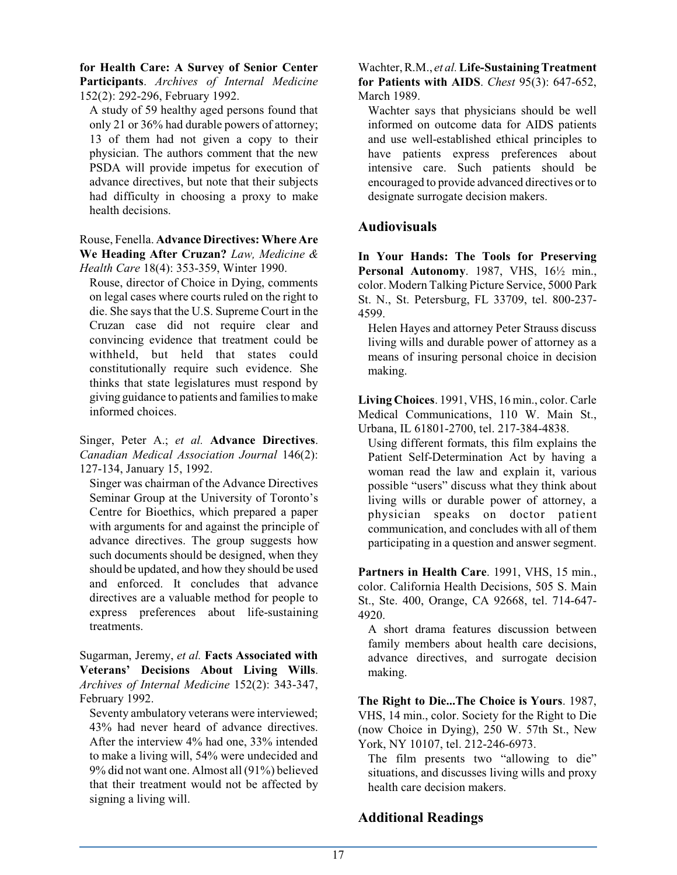**for Health Care: A Survey of Senior Center Participants**. *Archives of Internal Medicine* 152(2): 292-296, February 1992.

A study of 59 healthy aged persons found that only 21 or 36% had durable powers of attorney; 13 of them had not given a copy to their physician. The authors comment that the new PSDA will provide impetus for execution of advance directives, but note that their subjects had difficulty in choosing a proxy to make health decisions.

#### Rouse, Fenella. **Advance Directives:Where Are We Heading After Cruzan?** *Law, Medicine & Health Care* 18(4): 353-359, Winter 1990.

Rouse, director of Choice in Dying, comments on legal cases where courts ruled on the right to die. She says that the U.S. Supreme Court in the Cruzan case did not require clear and convincing evidence that treatment could be withheld, but held that states could constitutionally require such evidence. She thinks that state legislatures must respond by giving guidance to patients and families to make informed choices.

Singer, Peter A.; *et al.* **Advance Directives**. *Canadian Medical Association Journal* 146(2): 127-134, January 15, 1992.

Singer was chairman of the Advance Directives Seminar Group at the University of Toronto's Centre for Bioethics, which prepared a paper with arguments for and against the principle of advance directives. The group suggests how such documents should be designed, when they should be updated, and how they should be used and enforced. It concludes that advance directives are a valuable method for people to express preferences about life-sustaining treatments.

Sugarman, Jeremy, *et al.* **Facts Associated with Veterans' Decisions About Living Wills**. *Archives of Internal Medicine* 152(2): 343-347, February 1992.

Seventy ambulatory veterans were interviewed; 43% had never heard of advance directives. After the interview 4% had one, 33% intended to make a living will, 54% were undecided and 9% did not want one. Almost all (91%) believed that their treatment would not be affected by signing a living will.

Wachter, R.M., *et al.***Life-Sustaining Treatment for Patients with AIDS**. *Chest* 95(3): 647-652, March 1989.

Wachter says that physicians should be well informed on outcome data for AIDS patients and use well-established ethical principles to have patients express preferences about intensive care. Such patients should be encouraged to provide advanced directives or to designate surrogate decision makers.

## **Audiovisuals**

**In Your Hands: The Tools for Preserving Personal Autonomy**. 1987, VHS, 16½ min., color. Modern Talking Picture Service, 5000 Park St. N., St. Petersburg, FL 33709, tel. 800-237- 4599.

Helen Hayes and attorney Peter Strauss discuss living wills and durable power of attorney as a means of insuring personal choice in decision making.

**Living Choices**. 1991, VHS, 16 min., color. Carle Medical Communications, 110 W. Main St., Urbana, IL 61801-2700, tel. 217-384-4838.

Using different formats, this film explains the Patient Self-Determination Act by having a woman read the law and explain it, various possible "users" discuss what they think about living wills or durable power of attorney, a physician speaks on doctor patient communication, and concludes with all of them participating in a question and answer segment.

**Partners in Health Care**. 1991, VHS, 15 min., color. California Health Decisions, 505 S. Main St., Ste. 400, Orange, CA 92668, tel. 714-647- 4920.

A short drama features discussion between family members about health care decisions, advance directives, and surrogate decision making.

**The Right to Die...The Choice is Yours**. 1987, VHS, 14 min., color. Society for the Right to Die (now Choice in Dying), 250 W. 57th St., New York, NY 10107, tel. 212-246-6973.

The film presents two "allowing to die" situations, and discusses living wills and proxy health care decision makers.

# **Additional Readings**